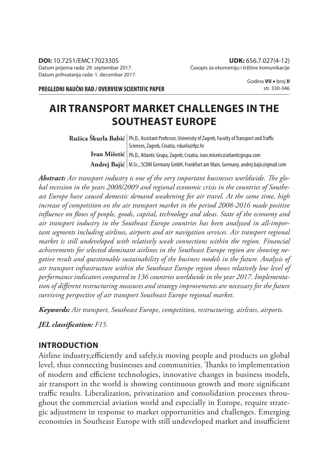**PREGLEDNI NAUČNI RAD / OVERVIEW SCIENTIFIC PAPER**

Godina **VII** broj **II** str. 330-346

# **AIR TRANSPORT MARKET CHALLENGES IN THE SOUTHEAST EUROPE**

 ${\bf Ru\check{z}ica~Skurla~Babić}$  | Ph.D., Assistant Professor, University of Zagreb, Faculty of Transport and Traffic **Ivan Mišetić** Ph.D., Atlantic Grupa, Zagreb, Croatia, ivan.misetic@atlanticgrupa.com **Andrej Bajić** M.Sc., SCDM Germany GmbH, Frankfurt am Main, Germany, andrej.bajic@gmail.com Sciences, Zagreb, Croatia, rskurla@fpz.hr

Abstract: Air transport industry is one of the very important businesses worldwide. The glo*bal recession in the years 2008/2009 and regional economic crisis in the countries of Southeast Europe have caused domestic demand weakening for air travel. At the same time, high increase of competition on the air transport market in the period 2008-2016 made positive*  influence on flows of people, goods, capital, technology and ideas. State of the economy and *air transport industry in the Southeast Europe countries has been analyzed in all-important segments including airlines, airports and air navigation services. Air transport regional market is still undeveloped with relatively weak connections within the region. Financial achievements for selected dominant airlines in the Southeast Europe region are showing negative result and questionable sustainability of the business models in the future. Analysis of air transport infrastructure within the Southeast Europe region shows relatively low level of performance indicators compared to 136 countries worldwide in the year 2017. Implementa*tion of different restructuring measures and strategy improvements are necessary for the future *surviving perspective of air transport Southeast Europe regional market.*

*Keywords: Air transport, Southeast Europe, competition, restructuring, airlines, airports.*

*JEL classifi cation: F15.*

#### **INTRODUCTION**

Airline industry, efficiently and safely, is moving people and products on global level, thus connecting businesses and communities. Thanks to implementation of modern and efficient technologies, innovative changes in business models, air transport in the world is showing continuous growth and more significant traffic results. Liberalization, privatization and consolidation processes throughout the commercial aviation world and especially in Europe, require strategic adjustment in response to market opportunities and challenges. Emerging economies in Southeast Europe with still undeveloped market and insufficient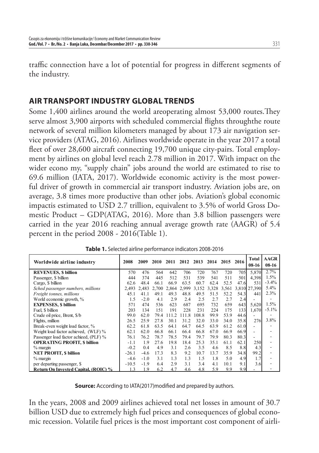traffic connection have a lot of potential for progress in different segments of the industry.

### **AIR TRANSPORT INDUSTRY GLOBAL TRENDS**

Some  $1,400$  airlines around the world areoperating almost  $53,000$  routes. They serve almost 3,900 airports with scheduled commercial flights throughthe route network of several million kilometers managed by about 173 air navigation service providers (ATAG, 2016). Airlines worldwide operate in the year 2017 a total fleet of over 28,600 aircraft connecting 19,700 unique city-pairs. Total employment by airlines on global level reach 2.78 million in 2017. With impact on the wider econo my, "supply chain" jobs around the world are estimated to rise to 69.6 million (IATA, 2017). Worldwide economic activity is the most powerful driver of growth in commercial air transport industry. Aviation jobs are, on average, 3.8 times more productive than other jobs. Aviation's global economic impactis estimated to USD 2.7 trillion, equivalent to 3.5% of world Gross Domestic Product – GDP(ATAG, 2016). More than 3.8 billion passengers were carried in the year 2016 reaching annual average growth rate (AAGR) of 5.4 percent in the period 2008 - 2016(Table 1).

| Worldwide airline industry             | 2008    | 2009   | 2010  | 2011 | 2012        | 2013  | 2014 | 2015 | 2016 | Total<br>$08-16$         | <b>AAGR</b><br>$08-16$ |
|----------------------------------------|---------|--------|-------|------|-------------|-------|------|------|------|--------------------------|------------------------|
| <b>REVENUES, \$ billion</b>            | 570     | 476    | 564   | 642  | 706         | 720   | 767  | 720  | 705  | 5,870                    | 2.7%                   |
| Passenger, \$ billion                  | 444     | 374    | 445   | 512  | 531         | 539   | 541  | 511  | 501  | 4,398                    | 1.5%                   |
| Cargo, \$ billion                      | 62.6    | 48.4   | 66.1  | 66.9 | 63.5        | 60.7  | 62.4 | 52.5 | 47.6 | 531                      | $-3.4%$                |
| Sched passenger numbers, millions      | 2,493   | 2.483  | 2,700 |      | 2,864 2,999 | 3.152 |      |      |      | 3,328 3,561 3,810 27,390 | 5.4%                   |
| <i>Freight tonnes, millions</i>        | 45.1    | 41.1   | 49.1  | 49.3 | 48.8        | 49.5  | 51.5 | 52.2 | 54.3 | 441                      | 2.3%                   |
| World economic growth, %               | 1.5     | $-2.0$ | 4.1   | 2.9  | 2.4         | 2.5   | 2.7  | 2.7  | 2.4  |                          |                        |
| <b>EXPENSES, \$ billion</b>            | 571     | 474    | 536   | 623  | 687         | 695   | 732  | 659  | 643  | 5,620                    | 1.5%                   |
| Fuel, \$ billion                       | 203     | 134    | 151   | 191  | 228         | 231   | 224  | 175  | 133  | 1,670                    | $-5.1\%$               |
| Crude oil price, Brent, \$/b           | 99.0    | 62.0   | 79.4  | 1112 | 111.8       | 108.8 | 99.9 | 53.9 | 44.6 |                          | -                      |
| Flights, million                       | 26.5    | 25.9   | 27.8  | 30.1 | 31.2        | 32.0  | 33.0 | 34.0 | 35.8 | 276                      | $3.8\%$                |
| Break-even weight load factor, %       | 62.2    | 61.8   | 63.5  | 64.1 | 64.7        | 64.5  | 63.9 | 61.2 | 61.0 |                          |                        |
| Weight load factor achieved, (WLF) %   | 62.1    | 62.0   | 66.8  | 66.1 | 66.4        | 66.8  | 67.0 | 66.9 | 66.9 | ٠                        |                        |
| Passenger load factor achieed, (PLF) % | 76.1    | 76.2   | 78.7  | 78.5 | 79.4        | 79.7  | 79.9 | 80.3 | 80.3 |                          |                        |
| <b>OPERATING PROFIT, \$ billion</b>    | $-1.1$  | 1.9    | 27.6  | 19.8 | 18.4        | 25.3  | 35.1 | 61.1 | 62.1 | 250                      |                        |
| $%$ margin                             | $-0.2$  | 0.4    | 4.9   | 3.1  | 2.6         | 3.5   | 4.6  | 8.5  | 8.8  | 4.3                      |                        |
| <b>NET PROFIT, \$ billion</b>          | $-26.1$ | $-4.6$ | 17.3  | 83   | 9.2         | 10.7  | 13.7 | 35.9 | 34.8 | 99.2                     |                        |
| $%$ margin                             | $-4.6$  | $-1.0$ | 3.1   | 13   | 1.3         | 1.5   | 1.8  | 5.0  | 4.9  | 1.7                      |                        |
| per departing passenger, \$            | $-10.5$ | $-1.9$ | 6.4   | 29   | 3.1         | 3.4   | 4.1  | 10.1 | 9.1  | 3.6                      |                        |
| Return On Invested Capital, (ROIC) %   | ا 3     | 1.9    | 6.2   | 4.7  | 4.6         | 4.8   | 5.9  | 9.9  | 9.9  |                          |                        |

**Table 1.** Selected airline performance indicators 2008-2016

**Source:** According to IATA(2017)modified and prepared by authors.

In the years, 2008 and 2009 airlines achieved total net losses in amount of 30.7 billion USD due to extremely high fuel prices and consequences of global economic recession. Volatile fuel prices is the most important cost component of airli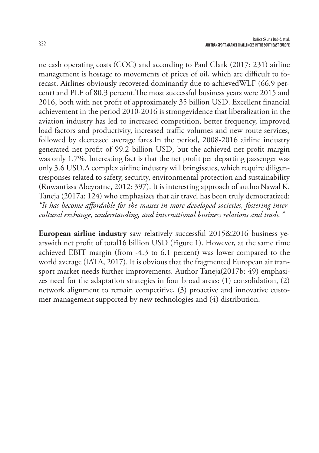ne cash operating costs (COC) and according to Paul Clark (2017: 231) airline management is hostage to movements of prices of oil, which are difficult to forecast. Airlines obviously recovered dominantly due to achievedWLF (66.9 percent) and PLF of 80.3 percent. The most successful business years were 2015 and 2016, both with net profit of approximately 35 billion USD. Excellent financial achievement in the period 2010-2016 is strongevidence that liberalization in the aviation industry has led to increased competition, better frequency, improved load factors and productivity, increased traffic volumes and new route services, followed by decreased average fares.In the period, 2008-2016 airline industry generated net profit of 99.2 billion USD, but the achieved net profit margin was only 1.7%. Interesting fact is that the net profit per departing passenger was only 3.6 USD.A complex airline industry will bringissues, which require diligentresponses related to safety, security, environmental protection and sustainability (Ruwantissa Abeyratne, 2012: 397). It is interesting approach of authorNawal K. Taneja (2017a: 124) who emphasizes that air travel has been truly democratized: "It has become affordable for the masses in more developed societies, fostering inter*cultural exchange, understanding, and international business relations and trade."*

**European airline industry** saw relatively successful 2015&2016 business yearswith net profit of total16 billion USD (Figure 1). However, at the same time achieved EBIT margin (from -4.3 to 6.1 percent) was lower compared to the world average (IATA, 2017). It is obvious that the fragmented European air transport market needs further improvements. Author Taneja(2017b: 49) emphasizes need for the adaptation strategies in four broad areas: (1) consolidation, (2) network alignment to remain competitive, (3) proactive and innovative customer management supported by new technologies and (4) distribution.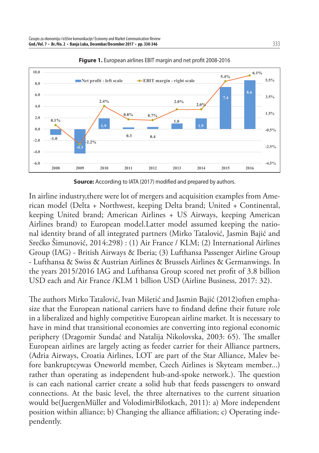

**Figure 1.** European airlines EBIT margin and net profit 2008-2016

**Source:** According to IATA (2017) modified and prepared by authors.

In airline industry,there were lot of mergers and acquisition examples from American model (Delta + Northwest, keeping Delta brand; United + Continental, keeping United brand; American Airlines + US Airways, keeping American Airlines brand) to European model.Latter model assumed keeping the national identity brand of all integrated partners (Mirko Tatalović, Jasmin Bajić and Srećko Šimunović, 2014:298) : (1) Air France / KLM; (2) International Airlines Group (IAG) - British Airways & Iberia; (3) Lufthansa Passenger Airline Group - Lufthansa & Swiss & Austrian Airlines & Brussels Airlines & Germanwings. In the years 2015/2016 IAG and Lufthansa Group scored net profit of 3.8 billion USD each and Air France /KLM 1 billion USD (Airline Business, 2017: 32).

The authors Mirko Tatalović, Ivan Mišetić and Jasmin Bajić (2012)often emphasize that the European national carriers have to findand define their future role in a liberalized and highly competitive European airline market. It is necessary to have in mind that transitional economies are converting into regional economic periphery (Dragomir Sundać and Natalija Nikolovska, 2003: 65). The smaller European airlines are largely acting as feeder carrier for their Alliance partners, (Adria Airways, Croatia Airlines, LOT are part of the Star Alliance, Malev before bankruptcywas Oneworld member, Czech Airlines is Skyteam member...) rather than operating as independent hub-and-spoke network.). The question is can each national carrier create a solid hub that feeds passengers to onward connections. At the basic level, the three alternatives to the current situation would be(JuergenMüller and VolodimirBilotkach, 2011): a) More independent position within alliance; b) Changing the alliance affiliation; c) Operating independently.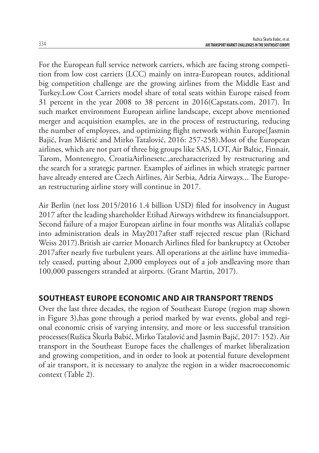For the European full service network carriers, which are facing strong competition from low cost carriers (LCC) mainly on intra-European routes, additional big competition challenge are the growing airlines from the Middle East and Turkey.Low Cost Carriers model share of total seats within Europe raised from 31 percent in the year 2008 to 38 percent in 2016(Capstats.com, 2017). In such market environment European airline landscape, except above mentioned merger and acquisition examples, are in the process of restructuring, reducing the number of employees, and optimizing flight network within Europe(Jasmin Bajić, Ivan Mišetić and Mirko Tatalović, 2016: 257-258).Most of the European airlines, which are not part of three big groups like SAS, LOT, Air Baltic, Finnair, Tarom, Montenegro, CroatiaAirlinesetc.,arecharacterized by restructuring and the search for a strategic partner. Examples of airlines in which strategic partner have already entered are Czech Airlines, Air Serbia, Adria Airways... The European restructuring airline story will continue in 2017.

Air Berlin (net loss 2015/2016 1.4 billion USD) filed for insolvency in August 2017 after the leading shareholder Etihad Airways withdrew its financialsupport. Second failure of a major European airline in four months was Alitalia's collapse into administration deals in May2017after staff rejected rescue plan (Richard Weiss 2017). British air carrier Monarch Airlines filed for bankruptcy at October 2017after nearly five turbulent years. All operations at the airline have immediately ceased, putting about 2,000 employees out of a job andleaving more than 100,000 passengers stranded at airports. (Grant Martin, 2017).

## **SOUTHEAST EUROPE ECONOMIC AND AIR TRANSPORT TRENDS**

Over the last three decades, the region of Southeast Europe (region map shown in Figure 3),has gone through a period marked by war events, global and regional economic crisis of varying intensity, and more or less successful transition processes(Ružica Škurla Babić, Mirko Tatalović and Jasmin Bajić, 2017: 152). Air transport in the Southeast Europe faces the challenges of market liberalization and growing competition, and in order to look at potential future development of air transport, it is necessary to analyze the region in a wider macroeconomic context (Table 2).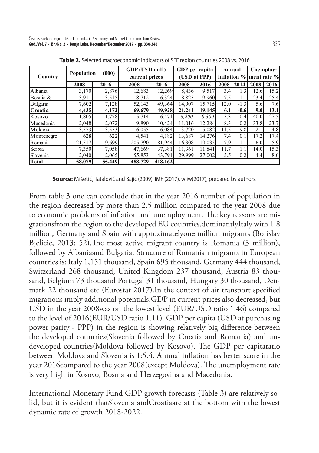|              |            |        | GDP (USD mill) |         | GDP per capita |        | Annual |             | Unemploy-   |      |  |
|--------------|------------|--------|----------------|---------|----------------|--------|--------|-------------|-------------|------|--|
| Country      | Population | (000)  | current prices |         | (USD at PPP)   |        |        | inflation % | ment rate % |      |  |
|              | 2008       | 2016   | 2008           | 2016    | 2008           | 2016   | 2008   | 2014        | 2008        | 2016 |  |
| Albania      | 3,170      | 2.876  | 12,683         | 12,269  | 8,436          | 9.517  | 3.4    | 1.3         | 12.6        | 15.2 |  |
| Bosnia &     | 3,911      | 3.515  | 18,712         | 16,324  | 8,825          | 9,960  | 7.5    | $-1.1$      | 23.4        | 25.4 |  |
| Bulgaria     | 7,602      | 7,128  | 52,143         | 49,364  | 14,907         | 15,715 | 12.0   | $-1.3$      | 5.6         | 7.6  |  |
| Croatia      | 4,435      | 4,172  | 69,679         | 49.928  | 21,241         | 19.145 | 6.1    | $-0.6$      | 9.0         | 13.1 |  |
| Kosovo       | 1,805      | 1,778  | 5,714          | 6,471   | 6,200          | 8,300  | 5.3    | 0.4         | 40.0        | 27.5 |  |
| M acedonia   | 2,048      | 2,072  | 9,890          | 10,424  | 11.016         | 12,284 | 8.3    | $-0.2$      | 33.8        | 23.7 |  |
| M oldova     | 3,573      | 3,553  | 6,055          | 6.084   | 3,720          | 5,082  | 11.5   | 9.8         | 2.1         | 4.8  |  |
| M ontenegro  | 628        | 622    | 4,541          | 4,182   | 13,687         | 14,276 | 7.4    | 0.1         | 17.2        | 17.4 |  |
| Romania      | 21,517     | 19.699 | 205,790        | 181.944 | 16,308         | 19.035 | 7.9    | $-1.1$      | 6.0         | 5.9  |  |
| Serbia       | 7,350      | 7,058  | 47,669         | 37,381  | 11,361         | 11.841 | 11.7   |             | 14.0        | 15.3 |  |
| Slovenia     | 2,040      | 2,065  | 55,853         | 43,791  | 29,999         | 27,002 | 5.5    | $-0.2$      | 4.4         | 8.0  |  |
| <b>Total</b> | 58,079     | 55,449 | 488,729        | 418,162 |                |        |        |             |             |      |  |

**Table 2.** Selected macroeconomic indicators of SEE region countries 2008 vs. 2016

**Source:** Mišetić, Tatalović and Bajić (2009), IMF (2017), wiiw(2017), prepared by authors.

From table 3 one can conclude that in the year 2016 number of population in the region decreased by more than 2.5 million compared to the year 2008 due to economic problems of inflation and unemployment. The key reasons are migrationsfrom the region to the developed EU countries,dominantlyItaly with 1.8 million, Germany and Spain with approximatelyone million migrants (Borislav Bjelicic, 2013: 52). The most active migrant country is Romania (3 million), followed by Albaniaand Bulgaria. Structure of Romanian migrants in European countries is: Italy 1,151 thousand, Spain 695 thousand, Germany 444 thousand, Switzerland 268 thousand, United Kingdom 237 thousand, Austria 83 thousand, Belgium 73 thousand Portugal 31 thousand, Hungary 30 thousand, Denmark 22 thousand etc (Eurostat 2017). In the context of air transport specified migrations imply additional potentials.GDP in current prices also decreased, but USD in the year 2008was on the lowest level (EUR/USD ratio 1.46) compared to the level of 2016(EUR/USD ratio 1.11). GDP per capita (USD at purchasing power parity - PPP) in the region is showing relatively big difference between the developed countries(Slovenia followed by Croatia and Romania) and undeveloped countries(Moldova followed by Kosovo). The GDP per capitaratio between Moldova and Slovenia is 1:5.4. Annual inflation has better score in the year 2016compared to the year 2008(except Moldova). The unemployment rate is very high in Kosovo, Bosnia and Herzegovina and Macedonia.

International Monetary Fund GDP growth forecasts (Table 3) are relatively solid, but it is evident thatSlovenia andCroatiaare at the bottom with the lowest dynamic rate of growth 2018-2022.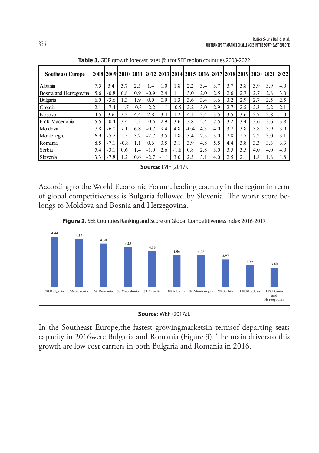| <b>Southeast Europe</b> |     |        |           |        |        |        |        |        |     |     |     |     |     |     | 2008 2009 2010 2011 2012 2013 2014 2015 2016 2017 2018 2019 2020 2021 2022 |
|-------------------------|-----|--------|-----------|--------|--------|--------|--------|--------|-----|-----|-----|-----|-----|-----|----------------------------------------------------------------------------|
| Albania                 | 7.5 | 3.4    | 3.7       | 2.5    | 1.4    | 1.0    | 1.8    | 2.2    | 3.4 | 3.7 | 3.7 | 3.8 | 3.9 | 3.9 | 4.0                                                                        |
| Bosnia and Herzegovina  | 5.6 | $-0.8$ | 0.8       | 0.9    | $-0.9$ | 2.4    | 1.1    | 3.0    | 2.0 | 2.5 | 2.6 | 2.7 | 2.7 | 2.8 | 3.0                                                                        |
| <b>Bulgaria</b>         | 6.0 | $-3.6$ | 1.3       | 1.9    | 0.0    | 0.9    | 1.3    | 3.6    | 3.4 | 3.6 | 3.2 | 2.9 | 2.7 | 2.5 | 2.5                                                                        |
| Croatia                 | 2.1 | $-7.4$ | $-1.7$    | $-0.3$ | $-2.2$ | $-1.1$ | $-0.5$ | 2.2    | 3.0 | 2.9 | 2.7 | 2.5 | 2.3 | 2.2 | 2.1                                                                        |
| Kosovo                  | 4.5 | 3.6    | 3.3       | 4.4    | 2.8    | 3.4    | 1.2    | 4.1    | 3.4 | 3.5 | 3.5 | 3.6 | 3.7 | 3.8 | 4.0                                                                        |
| <b>FYR</b> Macedonia    | 5.5 | $-0.4$ | 3.4       | 23     | $-0.5$ | 2.9    | 3.6    | 3.8    | 2.4 | 2.5 | 3.2 | 3.4 | 3.6 | 3.6 | 3.8                                                                        |
| Moldova                 | 7.8 | $-6.0$ | 7.1       | 6.8    | $-0.7$ | 9.4    | 4.8    | $-0.4$ | 4.3 | 4.0 | 3.7 | 3.8 | 3.8 | 3.9 | 3.9                                                                        |
| Montenegro              | 6.9 | $-5.7$ | 2.5       | 3.2    | $-2.7$ | 3.5    | 1.8    | 3.4    | 2.5 | 3.0 | 2.8 | 2.7 | 2.2 | 3.0 | 3.1                                                                        |
| Romania                 | 8.5 | $-7.1$ | $-0.8$    | 1.1    | 0.6    | 3.5    | 3.1    | 3.9    | 4.8 | 5.5 | 4.4 | 3.8 | 3.3 | 3.3 | 3.3                                                                        |
| Serbia                  | 5.4 | $-3.1$ | 0.6       | 1.4    | $-1.0$ | 2.6    | $-1.8$ | 0.8    | 2.8 | 3.0 | 3.5 | 3.5 | 4.0 | 4.0 | 4.0                                                                        |
| Slovenia                | 3.3 | $-7.8$ | $\cdot$ 2 | 0.6    | $-2.3$ | $-1$ . | 3.0    | 2.3    | 3.1 | 4.0 | 2.5 | 2.1 | 1.8 | 1.8 | 1.8                                                                        |

**Table 3.** GDP growth forecast rates (%) for SEE region countries 2008-2022

**Source:** IMF (2017).

According to the World Economic Forum, leading country in the region in term of global competitiveness is Bulgaria followed by Slovenia. The worst score belongs to Moldova and Bosnia and Herzegovina.



**Figure 2.** SEE Countries Ranking and Score on Global Competitiveness Index 2016-2017



In the Southeast Europe,the fastest growingmarketsin termsof departing seats capacity in 2016were Bulgaria and Romania (Figure 3). The main driversto this growth are low cost carriers in both Bulgaria and Romania in 2016.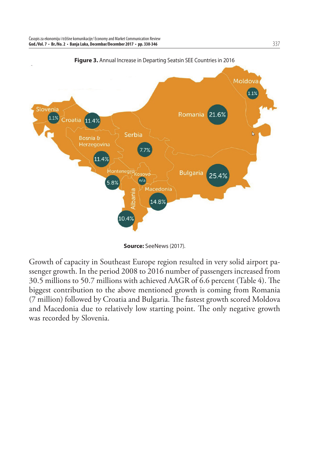

**Figure 3.** Annual Increase in Departing Seatsin SEE Countries in 2016

**Source:** SeeNews (2017).

Growth of capacity in Southeast Europe region resulted in very solid airport passenger growth. In the period 2008 to 2016 number of passengers increased from 30.5 millions to 50.7 millions with achieved AAGR of 6.6 percent (Table 4). The biggest contribution to the above mentioned growth is coming from Romania (7 million) followed by Croatia and Bulgaria. The fastest growth scored Moldova and Macedonia due to relatively low starting point. The only negative growth was recorded by Slovenia.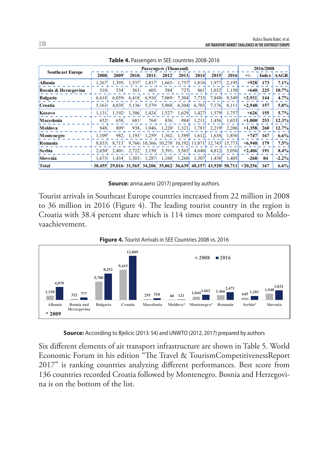|                         |                   |                                                        |                   | Passengers (Thousand)                           |                                             |                                        |                   |                      |                            |           | 2016/2008 |              |
|-------------------------|-------------------|--------------------------------------------------------|-------------------|-------------------------------------------------|---------------------------------------------|----------------------------------------|-------------------|----------------------|----------------------------|-----------|-----------|--------------|
| <b>Southeast Europe</b> | 2008 <sub>1</sub> | 2009'                                                  | 2010 <sub>1</sub> | $2011_1$                                        | $2012$ <sup><math>\overline{ }</math></sup> | 2013 <sub>1</sub>                      | 2014              | 2015'                | 2016                       | $+/-$     |           | Index   AAGR |
| <b>Albania</b>          | 1,267             | 1.395 <sub>1</sub>                                     | 1,537             | $1,817$ <sup>1</sup>                            | $1,665$ <sub>1</sub>                        | $1,757$ <sup>1</sup>                   | 1,810             | 1.977 <sub>1</sub>   | 2,195                      | $+928$    | 173       | 7.1%         |
| Bosnia & Herzegovina    | 5101              | 534'                                                   | 5631              | 6051                                            | 584'                                        | 7271                                   | 861               | 1,032                | 1,150                      | $+640$    | 225       | 10.7%        |
| <b>Bulgaria</b>         | 6,618             | 6.0591                                                 | 6.418             | 6,910                                           | 7,0691                                      | 7,304                                  | 7,733             | 7,848                | 9.549                      | $+2,931$  | 144       | 4.7%         |
| Croatia                 | 5.163             | 4.839.                                                 |                   | 5,1361 5,5791                                   |                                             | 5,960, 6,3041                          | 6,703             | 7,176                | 8.111                      | $+2.948$  | 157       | $5.8\%$      |
| Kosovo                  | 1,131             | $1.192$ <sup>1</sup>                                   |                   | $1,306$ , $1,424$                               | 1,527                                       |                                        | $1,629$ , $1,427$ | 1,579                | 1.757                      | $+626$    | 155       | 5.7%         |
| Macedonia               | 652               | 658.                                                   | 681 <sup>-1</sup> | 764 <sup>1</sup>                                | 836.                                        | 984                                    | 1.211             | 1,456                | 1.653                      | $+1.000$  | 253       | 12.3%        |
| Moldova                 | $848_1$           | $809$ <sup><math>\overline{\phantom{0}}</math></sup>   |                   | $938_1$ 1,046 <sub>1</sub> 1,220 <sup>1</sup>   |                                             |                                        | $1,321$ , $1,781$ | $2.219$ <sup>1</sup> | 2,206                      | $+1,358$  | 260       | 12.7%        |
| Montenegro              | 1,109             | 982 <sub>1</sub>                                       |                   | $1,193$ $1,259$                                 |                                             | $1,362$ , $1,589$ <sup>1</sup> $1,612$ |                   | 1,638                | 1.856                      | $+747$    | 167       | $6.6\%$      |
| Romania                 | 8.833             | 8.713                                                  |                   | $9,766$ 10,366 10,278 10,192 11,071             |                                             |                                        |                   |                      | $12,743$ <sup>15,773</sup> | $+6,940$  | 179       | 7.5%         |
| <b>Serbia</b>           | 2,650             | 2.401 <sub>1</sub>                                     |                   | $2,722$ , $3,150$ , $3,391$ , $3,565$ , $4,640$ |                                             |                                        |                   |                      | 4,812 5,056                | $+2.406$  | 191       | 8.4%         |
| Slovenia                | 1.6731            | 1.434                                                  | 1.3031            | 1.2871                                          |                                             | $1,168$ , $1,268$                      | 1.307             | 1.438                | 1.405                      | $-268$    | 84        | $-2.2\%$     |
| <b>Total</b>            |                   | 30,455, 29,016, 31,565, 34,206, 35,062, 36,639, 40,157 |                   |                                                 |                                             |                                        |                   | 43,920 50,711        |                            | $+20.256$ | 167       | $6.6\%$      |

**Table 4.** Passengers in SEE countries 2008-2016

**Source:** anna.aero (2017) prepared by authors.

Tourist arrivals in Southeast Europe countries increased from 22 million in 2008 to 36 million in 2016 (Figure 4). The leading tourist country in the region is Croatia with 38.4 percent share which is 114 times more compared to Moldovaachievement.



**Source:** According to Bjelicic (2013: 54) and UNWTO (2012, 2017) prepared by authors

Six different elements of air transport infrastructure are shown in Table 5. World Economic Forum in his edition "The Travel & TourismCompetitivenessReport 2017" is ranking countries analyzing different performances. Best score from 136 countries recorded Croatia followed by Montenegro. Bosnia and Herzegovina is on the bottom of the list.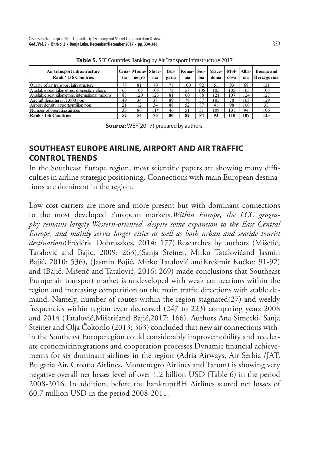| Air transport infrastructure<br>Rank / 136 Countries | tia | Croa-Monte-Slove-<br>negro | nia | Bul-<br>garia | nia | hia | Roma-1 Ser-1 Mace-1<br>donia | Mol-<br>dova | Alba-<br>nia | <b>Bosnia</b> and<br>Herzegovina |
|------------------------------------------------------|-----|----------------------------|-----|---------------|-----|-----|------------------------------|--------------|--------------|----------------------------------|
| Quality of air transport infrastructure              | 78  | 81                         | 70  | 77            | 100 | 92  | 51                           | 93           | 68           | 131                              |
| Available seat kilometres, domestic millions         | 63  | 105                        | 105 | 73            | 58  | 105 | 105                          | 105          | 105          | 105                              |
| Available seat kilometres, international millions    | 83  | 120                        | 123 | 81            | 60  | 88  | 121                          | 107          | 124          | 127                              |
| Aircraft departures /1,000 pop.                      | 49  | 34                         | 38  | 89            | 79  | 57  | 105                          | 78           | 103          | 129                              |
| Airport density airports/million pop.                | 21  | 12                         | 34  | 88            | 52  | 87  | 41                           | 98           | 100          | 33                               |
| Number of operating airlines                         | 33  | 86                         | 114 | 46            | 51  | 51  | 109                          | 101          | 94           | 106                              |
| Rank / 136 Countries                                 | 52  | 54                         | 76  | 80            | 82  | 84  | 93                           | 110          | 109          | 123                              |

**Table 5.** SEE Countries Ranking by Air Transport Infrastructure 2017

**Source:** WEF(2017) prepared by authors.

### **SOUTHEAST EUROPE AIRLINE, AIRPORT AND AIR TRAFFIC CONTROL TRENDS**

In the Southeast Europe region, most scientific papers are showing many difficulties in airline strategic positioning. Connections with main European destinations are dominant in the region.

Low cost carriers are more and more present but with dominant connections to the most developed European markets.*Within Europe, the LCC geography remains largely Western-oriented, despite some expansion to the East Central Europe, and mainly serves larger cities as well as both urban and seaside tourist destinations*(Frédéric Dobruszkes, 2014: 177).Researches by authors (Mišetić, Tatalović and Bajić, 2009: 263),(Sanja Steiner, Mirko Tatalovićand Jasmin Bajić, 2010: 536), (Jasmin Bajić, Mirko Tatalović andKrešimir Kučko: 91-92) and (Bajić, Mišetić and Tatalović, 2016: 269) made conclusions that Southeast Europe air transport market is undeveloped with weak connections within the region and increasing competition on the main traffic directions with stable demand. Namely, number of routes within the region stagnated(27) and weekly frequencies within region even decreased (247 to 223) comparing years 2008 and 2014 (Tatalović,Mišetićand Bajić,2017: 166). Authors Ana Šimecki, Sanja Steiner and Olja Čokorilo (2013: 363) concluded that new air connections within the Southeast Europeregion could considerably improvemobility and accelerate economicintegrations and cooperation processes. Dynamic financial achievements for six dominant airlines in the region (Adria Airways, Air Serbia /JAT, Bulgaria Air, Croatia Airlines, Montenegro Airlines and Tarom) is showing very negative overall net losses level of over 1.2 billion USD (Table 6) in the period 2008-2016. In addition, before the bankruptBH Airlines scored net losses of 60.7 million USD in the period 2008-2011.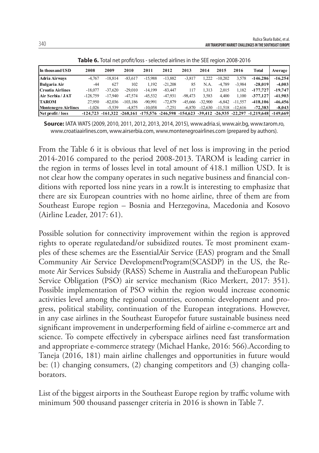| In thous and USD           | 2008       | 2009      | 2010       | 2011      | 2012      | 2013      | 2014      | 2015      | 2016      | Total                                                                                                        | Average   |
|----------------------------|------------|-----------|------------|-----------|-----------|-----------|-----------|-----------|-----------|--------------------------------------------------------------------------------------------------------------|-----------|
| <b>Adria Airways</b>       | $-4.767$   | $-18.814$ | $-83.617$  | $-15.988$ | $-13,882$ | $-3,817$  | 1.222     | $-10.202$ | 3,578     | $-146.286$                                                                                                   | $-16.254$ |
| Bulgaria Air               | $-44$      | 627       | 102        | 1.192     | $-21.208$ | 85        | N.A.      | -4.789    | $-3,984$  | $-28.019$                                                                                                    | $-4.003$  |
| Croatia Airlines           | $-18.077$  | $-37.620$ | $-29.010$  | $-14.199$ | $-83.447$ | 117       | 1.313     | 2.015     | 1.182     | $-177,727$                                                                                                   | $-19,747$ |
| Air Serbia / JAT           | $-128.759$ | $-17.940$ | $-47.574$  | $-45.532$ | $-47.931$ | $-98.473$ | 3,583     | 4.400     | 1.100     | $-377.127$                                                                                                   | $-41.903$ |
| <b>TAROM</b>               | 27.950     | $-82.036$ | $-103.186$ | $-90,991$ | $-72,879$ | $-45.666$ | $-32.900$ | $-6,842$  | $-11,557$ | $-418,106$                                                                                                   | $-46.456$ |
| <b>Montenegro Airlines</b> | $-1.026$   | $-5.539$  | $-4.875$   | $-10.058$ | $-7,251$  | $-6.870$  | $-12.630$ | $-11.518$ | $-12.616$ | $-72.383$                                                                                                    | $-8.043$  |
| Net profit / loss          | $-124.723$ |           |            |           |           |           |           |           |           | $-161,322$ $-268,161$ $-175,576$ $-246,598$ $-154,623$ $-39,412$ $-26,935$ $-22,297$ $-1,219,648$ $-149,669$ |           |

**Table 6.** Total net profit/loss - selected airlines in the SFF region 2008-2016

**Source:** IATA WATS (2009, 2010, 2011, 2012, 2013, 2014, 2015), www.adria.si, www.air.bg, www.tarom.ro, www.croatiaairlines.com, www.airserbia.com, www.montenegroairlines.com (prepared by authors).

From the Table 6 it is obvious that level of net loss is improving in the period 2014-2016 compared to the period 2008-2013. TAROM is leading carrier in the region in terms of losses level in total amount of 418.1 million USD. It is not clear how the company operates in such negative business and financial conditions with reported loss nine years in a row.It is interesting to emphasize that there are six European countries with no home airline, three of them are from Southeast Europe region – Bosnia and Herzegovina, Macedonia and Kosovo (Airline Leader, 2017: 61).

Possible solution for connectivity improvement within the region is approved rights to operate regulatedand/or subsidized routes. Te most prominent examples of these schemes are the EssentialAir Service (EAS) program and the Small Community Air Service DevelopmentProgram(SCASDP) in the US, the Remote Air Services Subsidy (RASS) Scheme in Australia and theEuropean Public Service Obligation (PSO) air service mechanism (Rico Merkert, 2017: 351). Possible implementation of PSO within the region would increase economic activities level among the regional countries, economic development and progress, political stability, continuation of the European integrations. However, in any case airlines in the Southeast Europefor future sustainable business need significant improvement in underperforming field of airline e-commerce art and science. To compete effectively in cyberspace airlines need fast transformation and appropriate e-commerce strategy (Michael Hanke, 2016: 566).According to Taneja (2016, 181) main airline challenges and opportunities in future would be: (1) changing consumers, (2) changing competitors and (3) changing collaborators.

List of the biggest airports in the Southeast Europe region by traffic volume with minimum 500 thousand passenger criteria in 2016 is shown in Table 7.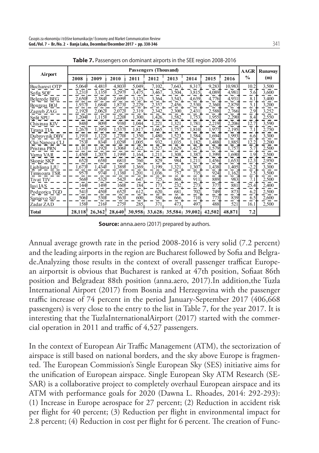|                      |        |        |        |       | Passengers (Thousand) |                      |        |        |        | <b>AAGR</b>   | Runaway |
|----------------------|--------|--------|--------|-------|-----------------------|----------------------|--------|--------|--------|---------------|---------|
| Airport              | 2008   | 2009   | 2010   | 2011  | 2012                  | 2013                 | 2014   | 2015   | 2016   | $\frac{0}{0}$ | (m)     |
| <b>Bucharest OTP</b> | 5,064  | 4.481  | 4,803  | 5.049 | 7,102.                | 7,643                | 8,317  | 9,283  | 10.983 | 10.2          | 3,500   |
| Sofia SOF            | 3,231  | 3,135  | 3,297  | 3,475 | 3,467                 | 3,504                | 3,815  | 4,089  | 4,981  | 5.6           | 3,600   |
| Belgrede BEG         | 2,650  | 2,384  | 2,699  | 3,125 | 3,364                 | 3,543                | 4,639  | 4,776  | 4,931  | 8.1           | 3,400   |
| Bourgas BOJ          | 1,937  | 1,684  | 1,873  | 2,229 | 2,357                 | 2,456.               | 2,530  | 2,360  | 2,879  | 5.1           | 3,200   |
| Zagreb ZAG           | 2,192  | 2,062  | 2,072  | 2,319 | 2,342                 | 2,300                | 2,431  | 2,588  | 2,766  | 2.9           | 3,252   |
| <b>Split SPU</b>     | 1,204  | 1.115  | 1,220  | 1.300 | 1,426                 | 1,582                | 1,753  | 1,955  | 2,290  | 8.4           | 2,550   |
| Chisinau KIV         | 848    | 8091   | 9381   | 1,044 | ,221                  | 1,321                | 1,781  | 2,219  | 2,206  | 12.7          | 3,590   |
| Tirana TIA           | 1,267  | 1,395  | 1,537  | 1,817 | 1.665.                | 1,757                | 1,810  | 1.977  | 2,195  | 7.1           | 2,750   |
| Dubrovnik DBV        | 1.191  | 1,122  | 1,270  | 1,350 | 1,480                 | 1,523                | 1,584. | 1,694  | 1,993  | 6.6           | 3,300   |
| Cluj Napoca CLJ      | 753    | 834    | 1,029  | 1,005 | 932.                  | 1,035                | 1,182  | 1,488  | 1,885  | 12.2          | 2,200   |
| Pristina PRN         | 1,131  | 1,192  | 1,306  | 1,422 | 1,527                 | 1,629                | 1,427  | 1,579  | 1,757  | 5.7           | 2,500   |
| Varna VAR            | 1,450  | 1,207  | 1,199  | 1,164 | .211                  | 1,308                | 1,387  | .399   | 1,690  | 1.9           | 2,500   |
| Skopje SKP           | 652    | 6581   | 6811   | 760   | 829                   | 984                  | 1,211  | 1,456  | 1,653  | 12.3          | 2,950   |
| Ljubljana LJU        | 1,673  | 1,434  | 1,389  | 1,369 | 1,199                 | 1,321                | 1,307  | 1,438  | 1,405  | $-2.2$        | 3,300   |
| Timisoara TSR        | 957    | 974    | 1,138  | 1,201 | 1,036                 | 757                  | 735.   | 924    | 1,162  | 2.5           | 3,500   |
| Tivat TIV            | 568    | 5321   | 542    | 647   | 725                   | 868                  | 911    | 889    | 983    | 7.1           | 2,500   |
| Iasi IAS             | 144    | 149    | 160    | 184   | 173                   | 232                  | 273    | 377    | 881    | 25.4          | 2,400   |
| Podgorica TGD        | 541    | 450    | 652    | 612   | 620.                  | 681                  | 702.   | 749    | 873    | 6.2           | 2,500   |
| Sarajevo SJJ         | 506    | 530    | 563    | 600   | 580.                  | 666                  | 710.   | 773    | 839    | 6.5           | 2,600   |
| Zadar ZAD            | 158    | 216    | 2751   | 285   | 371                   | 473                  | 497    | 488    | 521    | 16.1          | 2,500   |
| Total                | 28,118 | 26,362 | 28,640 |       |                       | 30,958 33,628 35,584 | 39,002 | 42,502 | 48,871 | 7.2           |         |

**Table 7.** Passengers on dominant airports in the SEE region 2008-2016

**Source:** anna.aero (2017) prepared by authors.

Annual average growth rate in the period 2008-2016 is very solid (7.2 percent) and the leading airports in the region are Bucharest followed by Sofia and Belgrade.Analyzing those results in the context of overall passenger trafficat European airportsit is obvious that Bucharest is ranked at 47th position, Sofiaat 86th position and Belgradeat 88th position (anna.aero, 2017).In addition,the Tuzla International Airport (2017) from Bosnia and Herzegovina with the passenger traffic increase of 74 percent in the period January-September 2017 (406,668) passengers) is very close to the entry to the list in Table 7, for the year 2017. It is interesting that the TuzlaInternationalAirport (2017) started with the commercial operation in 2011 and traffic of  $4,527$  passengers.

In the context of European Air Traffic Management (ATM), the sectorization of airspace is still based on national borders, and the sky above Europe is fragmented. The European Commission's Single European Sky (SES) initiative aims for the unification of European airspace. Single European Sky ATM Research (SE-SAR) is a collaborative project to completely overhaul European airspace and its ATM with performance goals for 2020 (Dawna L. Rhoades, 2014: 292-293): (1) Increase in Europe aerospace for 27 percent; (2) Reduction in accident risk per flight for 40 percent; (3) Reduction per flight in environmental impact for 2.8 percent; (4) Reduction in cost per flight for 6 percent. The creation of Func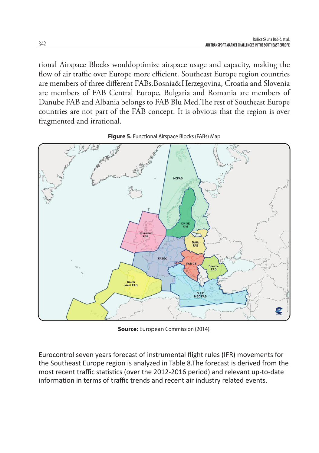tional Airspace Blocks wouldoptimize airspace usage and capacity, making the flow of air traffic over Europe more efficient. Southeast Europe region countries are members of three different FABs.Bosnia&Herzegovina, Croatia and Slovenia are members of FAB Central Europe, Bulgaria and Romania are members of Danube FAB and Albania belongs to FAB Blu Med. The rest of Southeast Europe countries are not part of the FAB concept. It is obvious that the region is over fragmented and irrational.



**Figure 5.** Functional Airspace Blocks (FABs) Map

**Source:** European Commission (2014).

Eurocontrol seven years forecast of instrumental flight rules (IFR) movements for the Southeast Europe region is analyzed in Table 8.The forecast is derived from the most recent traffic statistics (over the 2012-2016 period) and relevant up-to-date information in terms of traffic trends and recent air industry related events.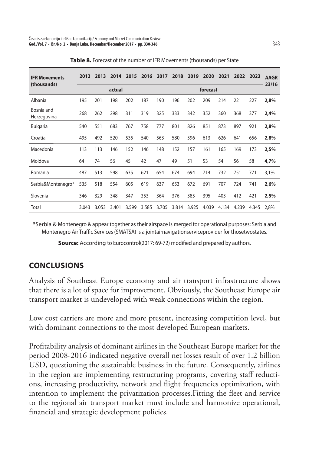| <b>IFR Movements</b><br>(thousands) | 2012  | 2013  | 2014   | 2015  | 2016  | 2017     | 2018  | 2019  | 2020  | 2021  | 2022  | 2023  | <b>AAGR</b><br>23/16 |  |
|-------------------------------------|-------|-------|--------|-------|-------|----------|-------|-------|-------|-------|-------|-------|----------------------|--|
|                                     |       |       | actual |       |       | forecast |       |       |       |       |       |       |                      |  |
| Albania                             | 195   | 201   | 198    | 202   | 187   | 190      | 196   | 202   | 209   | 214   | 221   | 227   | 2,8%                 |  |
| Bosnia and<br>Herzegovina           | 268   | 262   | 298    | 311   | 319   | 325      | 333   | 342   | 352   | 360   | 368   | 377   | 2,4%                 |  |
| <b>Bulgaria</b>                     | 540   | 551   | 683    | 767   | 758   | 777      | 801   | 826   | 851   | 873   | 897   | 921   | 2,8%                 |  |
| Croatia                             | 495   | 492   | 520    | 535   | 540   | 563      | 580   | 596   | 613   | 626   | 641   | 656   | 2,8%                 |  |
| Macedonia                           | 113   | 113   | 146    | 152   | 146   | 148      | 152   | 157   | 161   | 165   | 169   | 173   | 2,5%                 |  |
| Moldova                             | 64    | 74    | 56     | 45    | 42    | 47       | 49    | 51    | 53    | 54    | 56    | 58    | 4,7%                 |  |
| Romania                             | 487   | 513   | 598    | 635   | 621   | 654      | 674   | 694   | 714   | 732   | 751   | 771   | 3,1%                 |  |
| Serbia&Montenegro*                  | 535   | 518   | 554    | 605   | 619   | 637      | 653   | 672   | 691   | 707   | 724   | 741   | 2,6%                 |  |
| Slovenia                            | 346   | 329   | 348    | 347   | 353   | 364      | 376   | 385   | 395   | 403   | 412   | 421   | 2,5%                 |  |
| Total                               | 3.043 | 3.053 | 3.401  | 3.599 | 3.585 | 3.705    | 3.814 | 3.925 | 4.039 | 4.134 | 4.239 | 4.345 | 2.8%                 |  |

**\***Serbia & Montenegro & appear together as their airspace is merged for operational purposes; Serbia and Montenegro Air Traffic Services (SMATSA) is a jointairnavigationserviceprovider for thosetwostates.

**Source:** According to Eurocontrol(2017: 69-72) modified and prepared by authors.

## **CONCLUSIONS**

Analysis of Southeast Europe economy and air transport infrastructure shows that there is a lot of space for improvement. Obviously, the Southeast Europe air transport market is undeveloped with weak connections within the region.

Low cost carriers are more and more present, increasing competition level, but with dominant connections to the most developed European markets.

Profitability analysis of dominant airlines in the Southeast Europe market for the period 2008-2016 indicated negative overall net losses result of over 1.2 billion USD, questioning the sustainable business in the future. Consequently, airlines in the region are implementing restructuring programs, covering staff reductions, increasing productivity, network and flight frequencies optimization, with intention to implement the privatization processes. Fitting the fleet and service to the regional air transport market must include and harmonize operational, financial and strategic development policies.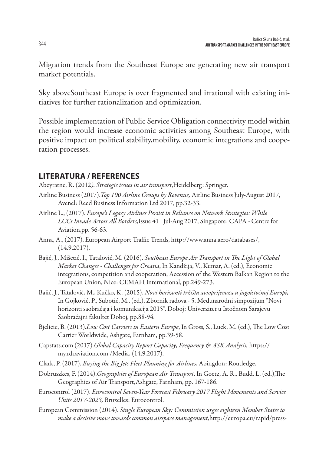Migration trends from the Southeast Europe are generating new air transport market potentials.

Sky aboveSoutheast Europe is over fragmented and irrational with existing initiatives for further rationalization and optimization.

Possible implementation of Public Service Obligation connectivity model within the region would increase economic activities among Southeast Europe, with positive impact on political stability,mobility, economic integrations and cooperation processes.

## **LITERATURA / REFERENCES**

Abeyratne, R. (2012*). Strategic issues in air transport*,Heidelberg: Springer.

- Airline Business (2017).*Top 100 Airline Groups by Revenue,* Airline Business July-August 2017, Avenel: Reed Business Information Ltd 2017, pp.32-33.
- Airline L., (2017). *Europe's Legacy Airlines Persist in Reliance on Network Strategies: While LCCs Invade Across All Borders,*Issue 41 | Jul-Aug 2017, Singapore: CAPA - Centre for Aviation,pp. 56-63.
- Anna, A., (2017). European Airport Traffic Trends, http://www.anna.aero/databases/, (14.9.2017).
- Bajić, J., Mišetić, I., Tatalović, M. (2016). *Southeast Europe Air Transport in The Light of Global Market Changes - Challenges for Croatia*, In Kandžija, V., Kumar, A. (ed.), Economic integrations, competition and cooperation, Accession of the Western Balkan Region to the European Union, Nice: CEMAFI International, pp.249-273.
- Bajić, J., Tatalović, M., Kučko, K. (2015). *Novi horizonti tržišta avioprijevoza u jugoistočnoj Europi,* In Gojković, P., Subotić, M., (ed.), Zbornik radova - 5. Međunarodni simpozijum "Novi horizonti saobraćaja i komunikacija 2015", Doboj: Univerzitet u Istočnom Sarajevu Saobraćajni fakultet Doboj, pp.88-94.
- Bjelicic, B. (2013).*Low Cost Carriers in Eastern Europe*, In Gross, S., Luck, M. (ed.), The Low Cost Carrier Worldwide, Ashgate, Farnham, pp.39-58.
- Capstats.com (2017).*Global Capacity Report Capacity, Frequency & ASK Analysis,* https:// my.rdcaviation.com /Media, (14.9.2017).
- Clark, P. (2017). *Buying the Big Jets Fleet Planning for Airlines*, Abingdon: Routledge.
- Dobruszkes, F. (2014). Geographies of European Air Transport, In Goetz, A. R., Budd, L. (ed.), The Geographies of Air Transport,Ashgate, Farnham, pp. 167-186.
- Eurocontrol (2017). *Eurocontrol Seven-Year Forecast February 2017 Flight Movements and Service Units 2017-2023,* Bruxelles: Eurocontrol.
- European Commission (2014). *Single European Sky: Commission urges eighteen Member States to make a decisive move towards common airspace management,*http://europa.eu/rapid/press-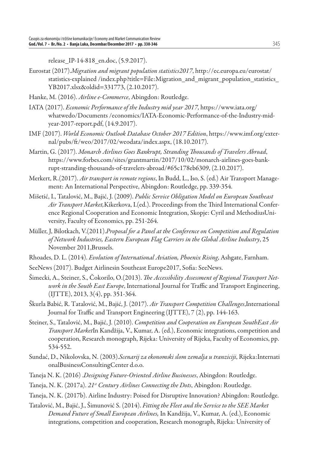release IP-14-818 en.doc, (5.9.2017).

- Eurostat (2017).*Migration and migrant population statistics2017*, http://ec.europa.eu/eurostat/ statistics-explained /index.php?title=File:Migration\_and\_migrant\_population\_statistics YB2017.xlsx&oldid=331773, (2.10.2017).
- Hanke, M. (2016). *Airline e-Commerce*, Abingdon: Routledge.
- IATA (2017). *Economic Performance of the Industry mid year 2017*, https://www.iata.org/ whatwedo/Documents /economics/IATA-Economic-Performance-of-the-Industry-midyear-2017-report.pdf, (14.9.2017).
- IMF (2017). *World Economic Outlook Database October 2017 Edition*, https://www.imf.org/external/pubs/ft /weo/2017/02/weodata/index.aspx, (18.10.2017).
- Martin, G. (2017). *Monarch Airlines Goes Bankrupt, Stranding Th ousands of Travelers Abroad*, https://www.forbes.com/sites/grantmartin/2017/10/02/monarch-airlines-goes-bankrupt-stranding-thousands-of-travelers-abroad/#65c178eb6309, (2.10.2017).
- Merkert, R.(2017). *Air transport in remote regions*, In Budd, L., Iso, S. (ed.) Air Transport Management: An International Perspective, Abingdon: Routledge, pp. 339-354.
- Mišetić, I., Tatalović, M., Bajić, J. (2009). *Public Service Obligation Model on European Southeast*  Air Transport Market, Kikerkova, I.(ed.). Proceedings from the Third International Conference Regional Cooperation and Economic Integration, Skopje: Cyril and MethodiusUniversity, Faculty of Economics, pp. 251-264.
- Müller, J, Bilotkach, V.(2011).*Proposal for a Panel at the Conference on Competition and Regulation of Network Industries, Eastern European Flag Carriers in the Global Airline Industry*, 25 November 2011,Brussels.
- Rhoades, D. L. (2014). *Evolution of International Aviation, Phoenix Rising*, Ashgate, Farnham.
- SeeNews (2017). Budget Airlinesin Southeast Europe2017, Sofia: SeeNews.
- Šimecki, A., Steiner, S., Čokorilo, O. (2013). *The Accessibility Assessment of Regional Transport Network in the South East Europe*, International Journal for Traffic and Transport Engineering, (IJTTE), 2013, 3(4), pp. 351-364.
- Škurla Babić, R. Tatalović, M., Bajić, J. (2017). *Air Transport Competition Challenges*,International Journal for Traffic and Transport Engineering (IJTTE), 7 (2), pp. 144-163.
- Steiner, S., Tatalović, M., Bajić, J. (2010). *Competition and Cooperation on European SouthEast Air Transport Market*In Kandžija, V., Kumar, A. (ed.), Economic integrations, competition and cooperation, Research monograph, Rijeka: University of Rijeka, Faculty of Economics, pp. 534-552.
- Sundać, D., Nikolovska, N. (2003).*Scenarij za ekonomski slom zemalja u tranziciji*, Rijeka:Internati onalBusinessConsultingCenter d.o.o.
- Taneja N. K. (2016) .*Designing Future-Oriented Airline Businesses*, Abingdon: Routledge.
- Taneja, N. K. (2017a). *21st Century Airlines Connecting the Dots*, Abingdon: Routledge.
- Taneja, N. K. (2017b). Airline Industry: Poised for Disruptive Innovation? Abingdon: Routledge.
- Tatalović, M., Bajić, J., Šimunović S. (2014). *Fitting the Fleet and the Service to the SEE Market Demand Future of Small European Airlines,* In Kandžija, V., Kumar, A. (ed.), Economic integrations, competition and cooperation, Research monograph, Rijeka: University of